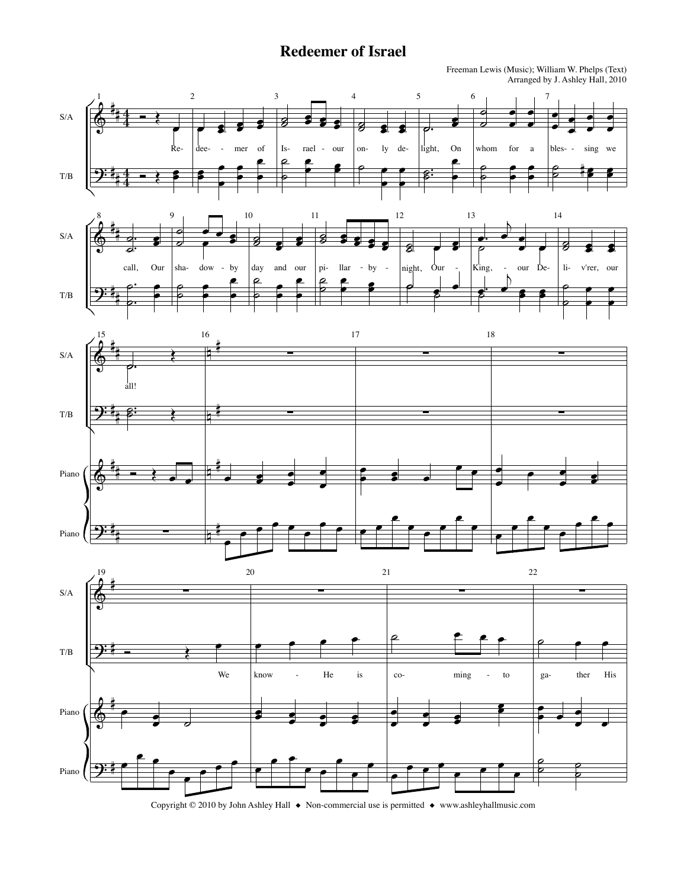## **Redeemer of Israel**

Freeman Lewis (Music); William W. Phelps (Text)<br>Arranged by J. Ashley Hall, 2010

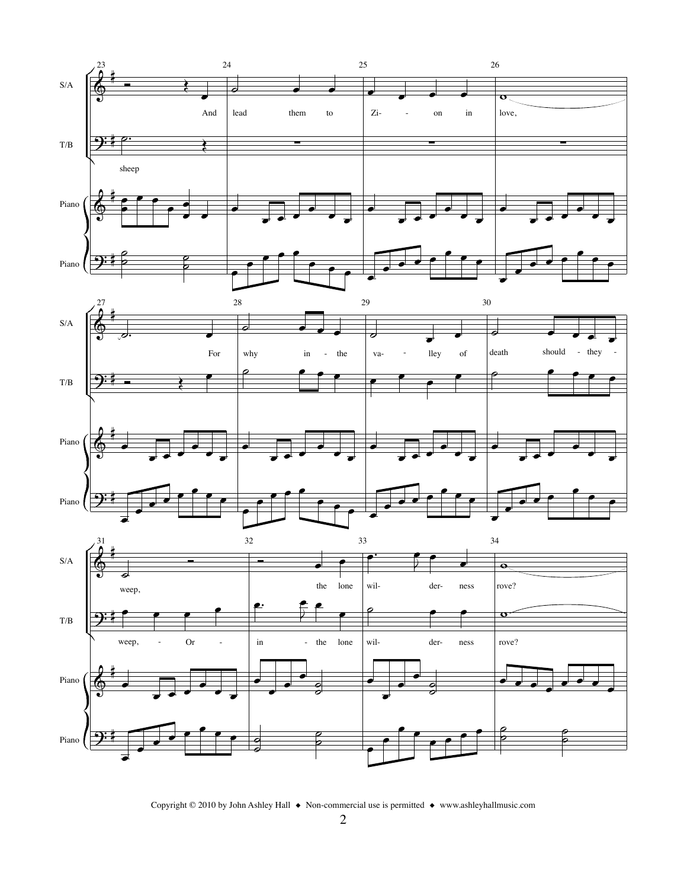

Copyright © 2010 by John Ashley Hall  $\bullet$  Non-commercial use is permitted  $\bullet$  www.ashleyhallmusic.com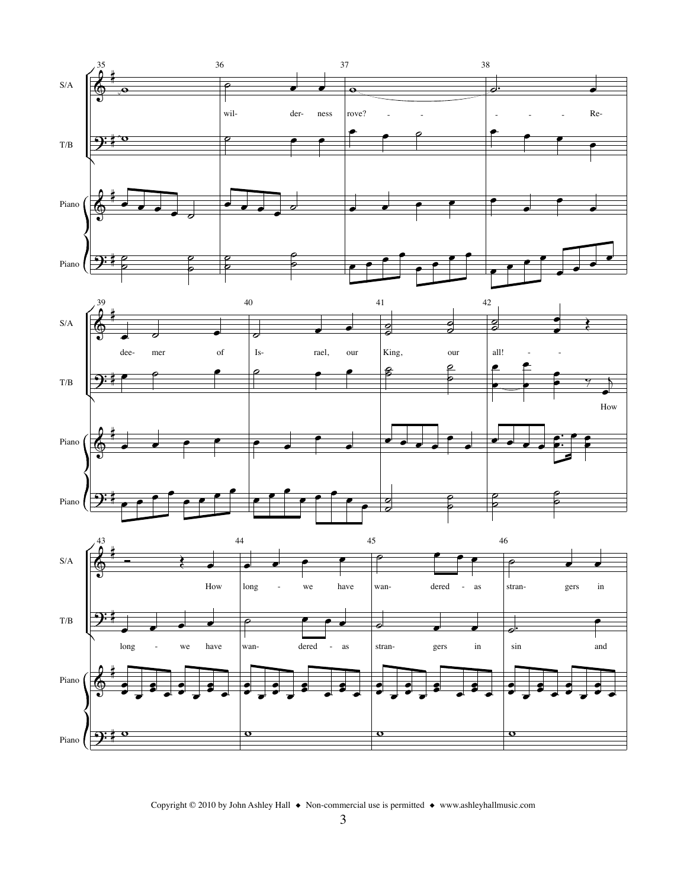



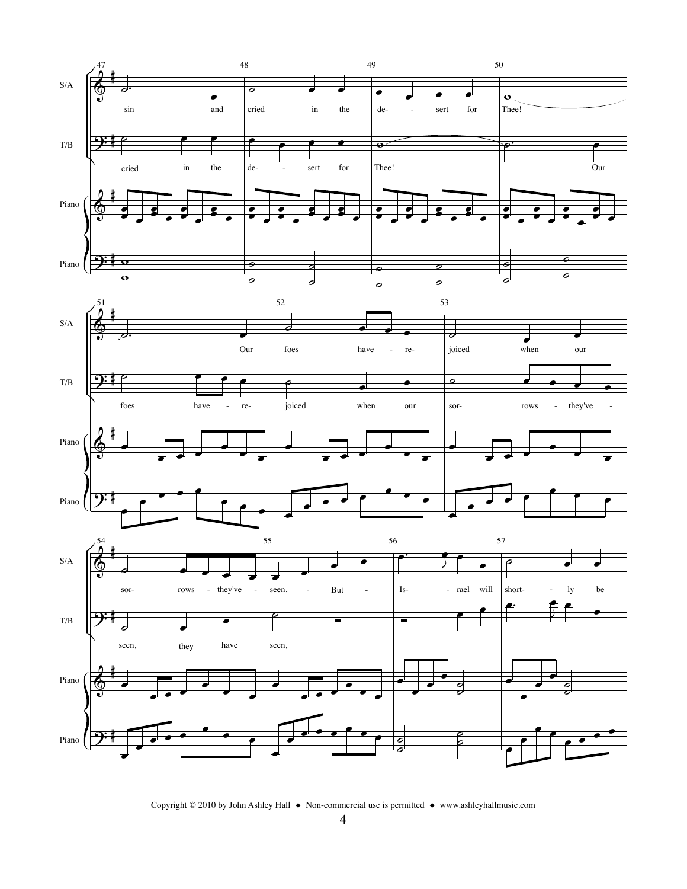

Copyright © 2010 by John Ashley Hall ◆ Non-commercial use is permitted ◆ www.ashleyhallmusic.com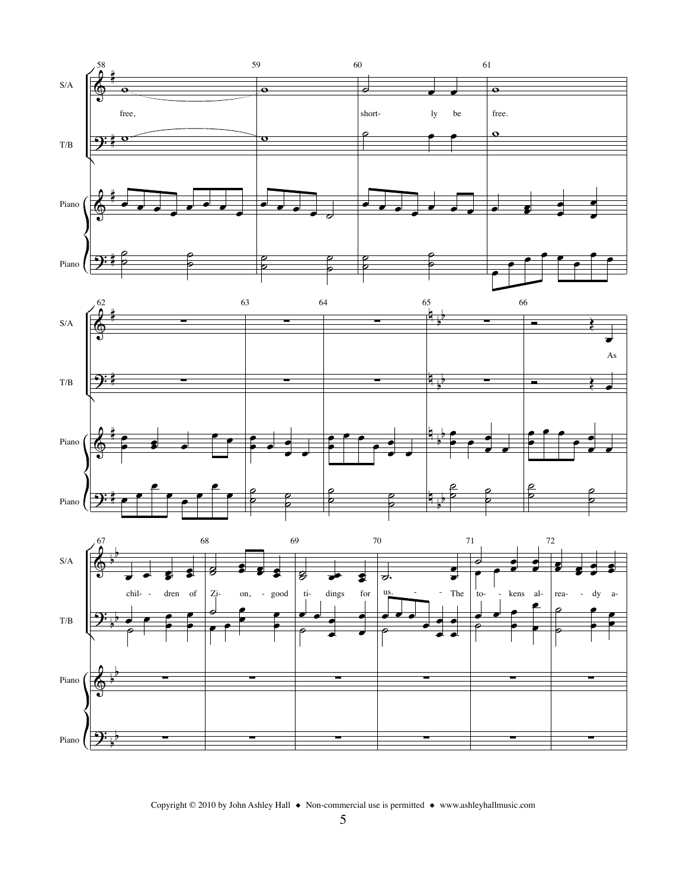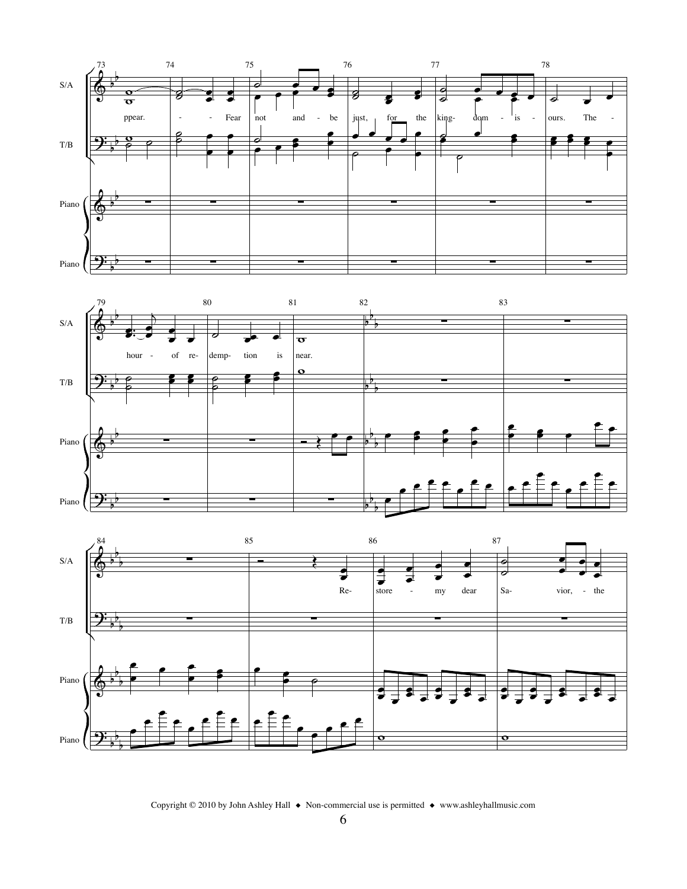



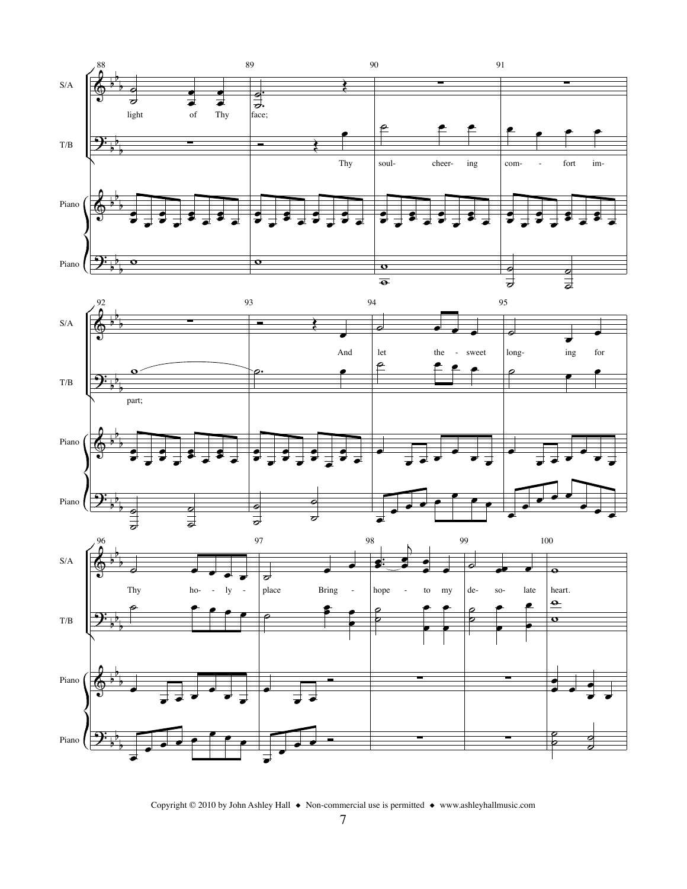





Copyright © 2010 by John Ashley Hall  $\bullet$  Non-commercial use is permitted  $\bullet$  www.ashleyhallmusic.com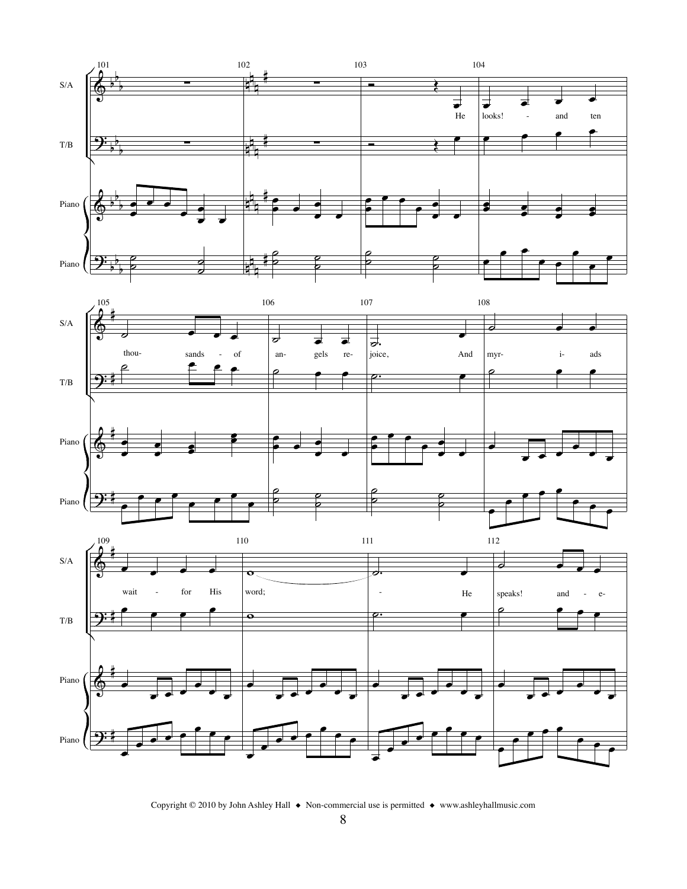





Copyright © 2010 by John Ashley Hall  $\bullet$  Non-commercial use is permitted  $\bullet$  www.ashleyhallmusic.com